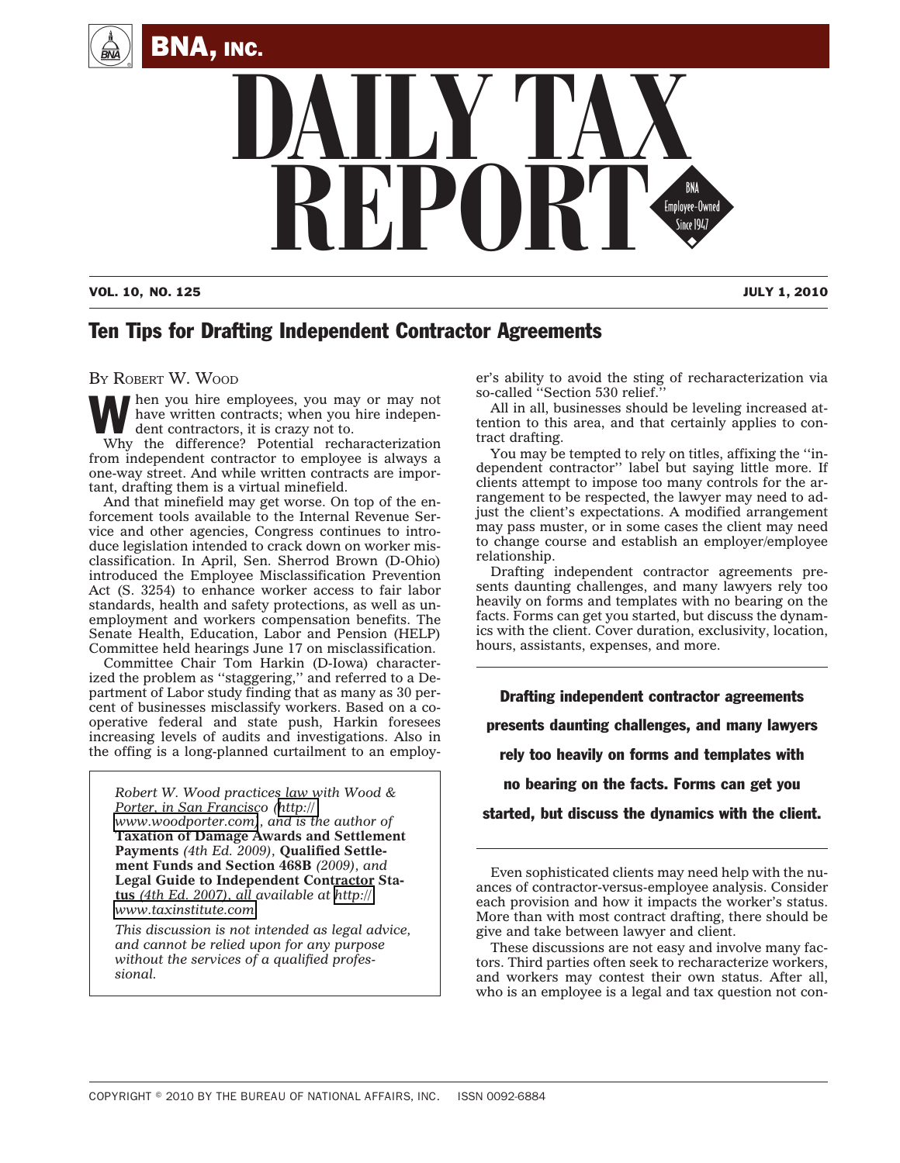



#### VOL. 10, NO. 125 JULY 1, 2010

# Ten Tips for Drafting Independent Contractor Agreements

BY ROBERT W. WOOD

hen you hire employees, you may or may not have written contracts; when you hire independent contractors, it is crazy not to.

Why the difference? Potential recharacterization from independent contractor to employee is always a one-way street. And while written contracts are important, drafting them is a virtual minefield.

And that minefield may get worse. On top of the enforcement tools available to the Internal Revenue Service and other agencies, Congress continues to introduce legislation intended to crack down on worker misclassification. In April, Sen. Sherrod Brown (D-Ohio) introduced the Employee Misclassification Prevention Act (S. 3254) to enhance worker access to fair labor standards, health and safety protections, as well as unemployment and workers compensation benefits. The Senate Health, Education, Labor and Pension (HELP) Committee held hearings June 17 on misclassification.

Committee Chair Tom Harkin (D-Iowa) characterized the problem as ''staggering,'' and referred to a Department of Labor study finding that as many as 30 percent of businesses misclassify workers. Based on a cooperative federal and state push, Harkin foresees increasing levels of audits and investigations. Also in the offing is a long-planned curtailment to an employ-

*Robert W. Wood practices law with Wood & Porter, in San Francisco ([http://](http://www.woodporter.com) [www.woodporter.com\)](http://www.woodporter.com), and is the author of* **Taxation of Damage Awards and Settlement Payments** *(4th Ed. 2009),* **Qualified Settlement Funds and Section 468B** *(2009), and* **Legal Guide to Independent Contractor Status** *(4th Ed. 2007), all available at [http://](http://www.taxinstitute.com) [www.taxinstitute.com.](http://www.taxinstitute.com)*

*This discussion is not intended as legal advice, and cannot be relied upon for any purpose without the services of a qualified professional.*

er's ability to avoid the sting of recharacterization via so-called "Section 530 relief.

All in all, businesses should be leveling increased attention to this area, and that certainly applies to contract drafting.

You may be tempted to rely on titles, affixing the ''independent contractor'' label but saying little more. If clients attempt to impose too many controls for the arrangement to be respected, the lawyer may need to adjust the client's expectations. A modified arrangement may pass muster, or in some cases the client may need to change course and establish an employer/employee relationship.

Drafting independent contractor agreements presents daunting challenges, and many lawyers rely too heavily on forms and templates with no bearing on the facts. Forms can get you started, but discuss the dynamics with the client. Cover duration, exclusivity, location, hours, assistants, expenses, and more.

Drafting independent contractor agreements presents daunting challenges, and many lawyers rely too heavily on forms and templates with no bearing on the facts. Forms can get you

started, but discuss the dynamics with the client.

Even sophisticated clients may need help with the nuances of contractor-versus-employee analysis. Consider each provision and how it impacts the worker's status. More than with most contract drafting, there should be give and take between lawyer and client.

These discussions are not easy and involve many factors. Third parties often seek to recharacterize workers, and workers may contest their own status. After all, who is an employee is a legal and tax question not con-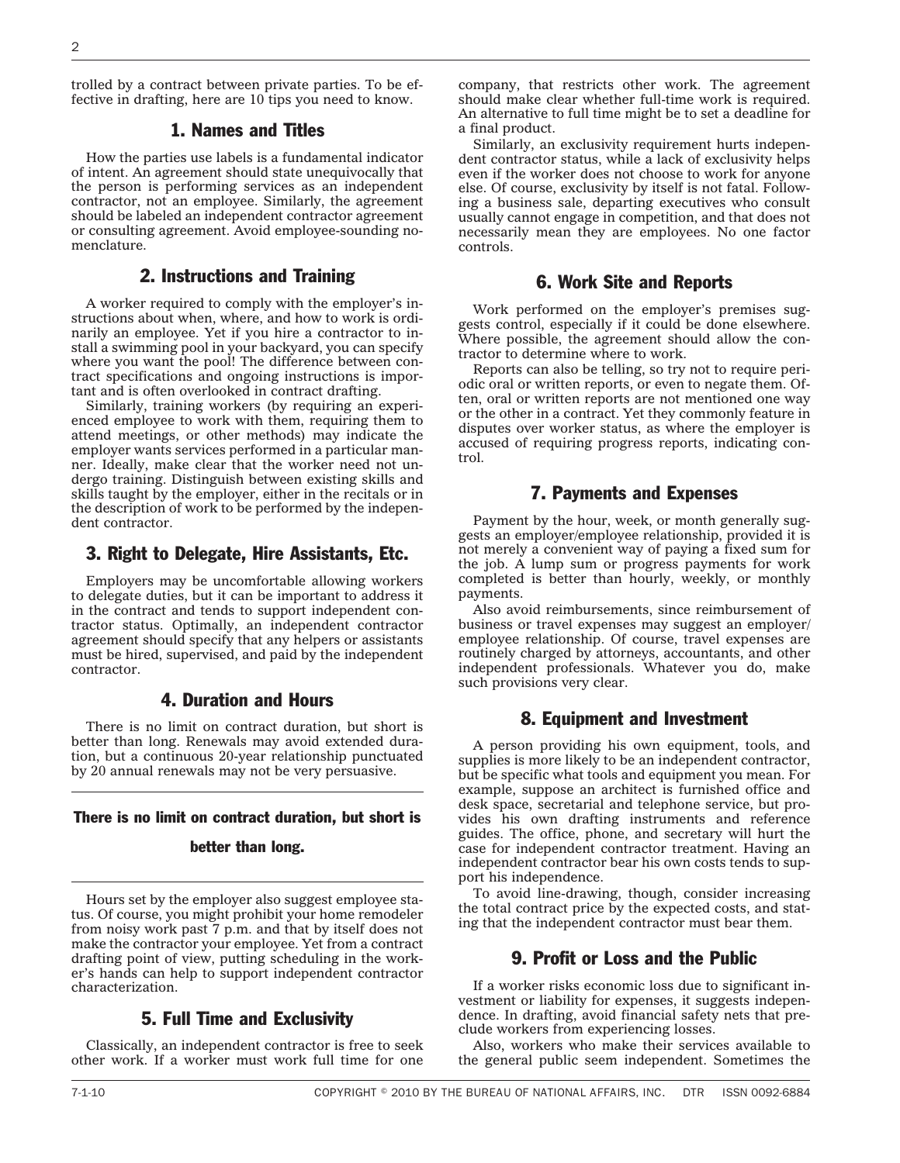trolled by a contract between private parties. To be effective in drafting, here are 10 tips you need to know.

## 1. Names and Titles

How the parties use labels is a fundamental indicator of intent. An agreement should state unequivocally that the person is performing services as an independent contractor, not an employee. Similarly, the agreement should be labeled an independent contractor agreement or consulting agreement. Avoid employee-sounding nomenclature.

# 2. Instructions and Training

A worker required to comply with the employer's instructions about when, where, and how to work is ordinarily an employee. Yet if you hire a contractor to install a swimming pool in your backyard, you can specify where you want the pool! The difference between contract specifications and ongoing instructions is important and is often overlooked in contract drafting.

Similarly, training workers (by requiring an experienced employee to work with them, requiring them to attend meetings, or other methods) may indicate the employer wants services performed in a particular manner. Ideally, make clear that the worker need not undergo training. Distinguish between existing skills and skills taught by the employer, either in the recitals or in the description of work to be performed by the independent contractor.

## 3. Right to Delegate, Hire Assistants, Etc.

Employers may be uncomfortable allowing workers to delegate duties, but it can be important to address it in the contract and tends to support independent contractor status. Optimally, an independent contractor agreement should specify that any helpers or assistants must be hired, supervised, and paid by the independent contractor.

# 4. Duration and Hours

There is no limit on contract duration, but short is better than long. Renewals may avoid extended duration, but a continuous 20-year relationship punctuated by 20 annual renewals may not be very persuasive.

#### There is no limit on contract duration, but short is

#### better than long.

Hours set by the employer also suggest employee status. Of course, you might prohibit your home remodeler from noisy work past 7 p.m. and that by itself does not make the contractor your employee. Yet from a contract drafting point of view, putting scheduling in the worker's hands can help to support independent contractor characterization.

# 5. Full Time and Exclusivity

Classically, an independent contractor is free to seek other work. If a worker must work full time for one company, that restricts other work. The agreement should make clear whether full-time work is required. An alternative to full time might be to set a deadline for a final product.

Similarly, an exclusivity requirement hurts independent contractor status, while a lack of exclusivity helps even if the worker does not choose to work for anyone else. Of course, exclusivity by itself is not fatal. Following a business sale, departing executives who consult usually cannot engage in competition, and that does not necessarily mean they are employees. No one factor controls.

## 6. Work Site and Reports

Work performed on the employer's premises suggests control, especially if it could be done elsewhere. Where possible, the agreement should allow the contractor to determine where to work.

Reports can also be telling, so try not to require periodic oral or written reports, or even to negate them. Often, oral or written reports are not mentioned one way or the other in a contract. Yet they commonly feature in disputes over worker status, as where the employer is accused of requiring progress reports, indicating control.

#### 7. Payments and Expenses

Payment by the hour, week, or month generally suggests an employer/employee relationship, provided it is not merely a convenient way of paying a fixed sum for the job. A lump sum or progress payments for work completed is better than hourly, weekly, or monthly payments.

Also avoid reimbursements, since reimbursement of business or travel expenses may suggest an employer/ employee relationship. Of course, travel expenses are routinely charged by attorneys, accountants, and other independent professionals. Whatever you do, make such provisions very clear.

## 8. Equipment and Investment

A person providing his own equipment, tools, and supplies is more likely to be an independent contractor, but be specific what tools and equipment you mean. For example, suppose an architect is furnished office and desk space, secretarial and telephone service, but provides his own drafting instruments and reference guides. The office, phone, and secretary will hurt the case for independent contractor treatment. Having an independent contractor bear his own costs tends to support his independence.

To avoid line-drawing, though, consider increasing the total contract price by the expected costs, and stating that the independent contractor must bear them.

# 9. Profit or Loss and the Public

If a worker risks economic loss due to significant investment or liability for expenses, it suggests independence. In drafting, avoid financial safety nets that preclude workers from experiencing losses.

Also, workers who make their services available to the general public seem independent. Sometimes the